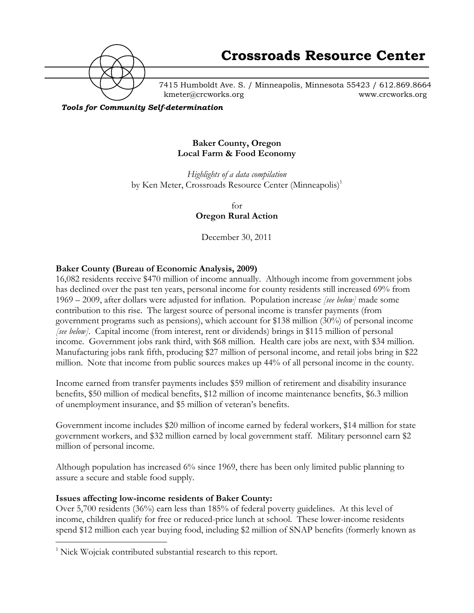

7415 Humboldt Ave. S. / Minneapolis, Minnesota 55423 / 612.869.8664 kmeter@crcworks.org www.crcworks.org

*Tools for Community Self-determination*

#### **Baker County, Oregon Local Farm & Food Economy**

*Highlights of a data compilation* by Ken Meter, Crossroads Resource Center (Minneapolis)<sup>1</sup>

> for **Oregon Rural Action**

December 30, 2011

### **Baker County (Bureau of Economic Analysis, 2009)**

16,082 residents receive \$470 million of income annually. Although income from government jobs has declined over the past ten years, personal income for county residents still increased 69% from 1969 – 2009, after dollars were adjusted for inflation. Population increase *[see below]* made some contribution to this rise. The largest source of personal income is transfer payments (from government programs such as pensions), which account for \$138 million (30%) of personal income *[see below]*. Capital income (from interest, rent or dividends) brings in \$115 million of personal income. Government jobs rank third, with \$68 million. Health care jobs are next, with \$34 million. Manufacturing jobs rank fifth, producing \$27 million of personal income, and retail jobs bring in \$22 million. Note that income from public sources makes up 44% of all personal income in the county.

Income earned from transfer payments includes \$59 million of retirement and disability insurance benefits, \$50 million of medical benefits, \$12 million of income maintenance benefits, \$6.3 million of unemployment insurance, and \$5 million of veteran's benefits.

Government income includes \$20 million of income earned by federal workers, \$14 million for state government workers, and \$32 million earned by local government staff. Military personnel earn \$2 million of personal income.

Although population has increased 6% since 1969, there has been only limited public planning to assure a secure and stable food supply.

### **Issues affecting low-income residents of Baker County:**

Over 5,700 residents (36%) earn less than 185% of federal poverty guidelines. At this level of income, children qualify for free or reduced-price lunch at school. These lower-income residents spend \$12 million each year buying food, including \$2 million of SNAP benefits (formerly known as

 $\frac{1}{1}$  $\frac{1}{1}$  Nick Wojciak contributed substantial research to this report.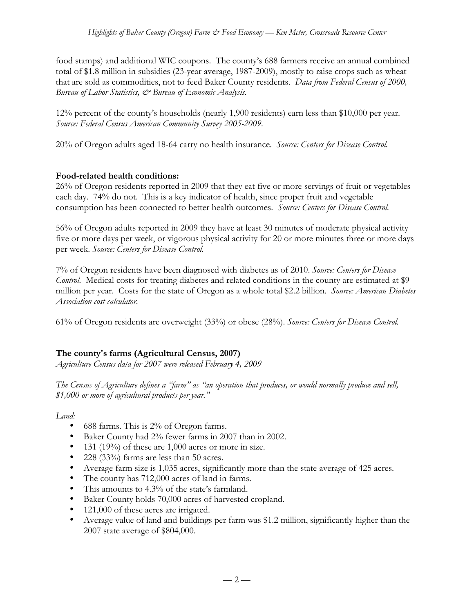food stamps) and additional WIC coupons. The county's 688 farmers receive an annual combined total of \$1.8 million in subsidies (23-year average, 1987-2009), mostly to raise crops such as wheat that are sold as commodities, not to feed Baker County residents. *Data from Federal Census of 2000, Bureau of Labor Statistics, & Bureau of Economic Analysis.*

12% percent of the county's households (nearly 1,900 residents) earn less than \$10,000 per year. *Source: Federal Census American Community Survey 2005-2009.*

20% of Oregon adults aged 18-64 carry no health insurance. *Source: Centers for Disease Control.*

## **Food-related health conditions:**

26% of Oregon residents reported in 2009 that they eat five or more servings of fruit or vegetables each day. 74% do not. This is a key indicator of health, since proper fruit and vegetable consumption has been connected to better health outcomes. *Source: Centers for Disease Control.*

56% of Oregon adults reported in 2009 they have at least 30 minutes of moderate physical activity five or more days per week, or vigorous physical activity for 20 or more minutes three or more days per week. *Source: Centers for Disease Control.*

7% of Oregon residents have been diagnosed with diabetes as of 2010. *Source: Centers for Disease Control.* Medical costs for treating diabetes and related conditions in the county are estimated at \$9 million per year. Costs for the state of Oregon as a whole total \$2.2 billion. *Source: American Diabetes Association cost calculator.*

61% of Oregon residents are overweight (33%) or obese (28%). *Source: Centers for Disease Control.*

# **The county's farms (Agricultural Census, 2007)**

*Agriculture Census data for 2007 were released February 4, 2009*

*The Census of Agriculture defines a "farm" as "an operation that produces, or would normally produce and sell, \$1,000 or more of agricultural products per year."*

*Land:*

- 688 farms. This is 2% of Oregon farms.
- Baker County had 2% fewer farms in 2007 than in 2002.
- 131 (19%) of these are 1,000 acres or more in size.
- 228 (33%) farms are less than 50 acres.
- Average farm size is 1,035 acres, significantly more than the state average of 425 acres.
- The county has 712,000 acres of land in farms.
- This amounts to 4.3% of the state's farmland.
- Baker County holds 70,000 acres of harvested cropland.
- 121,000 of these acres are irrigated.
- Average value of land and buildings per farm was \$1.2 million, significantly higher than the 2007 state average of \$804,000.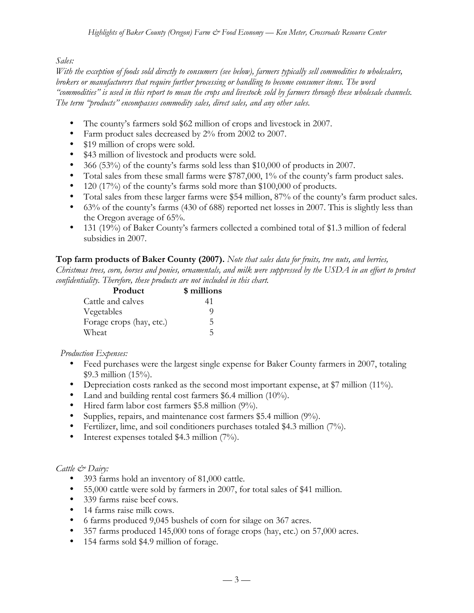# *Sales:*

*With the exception of foods sold directly to consumers (see below), farmers typically sell commodities to wholesalers, brokers or manufacturers that require further processing or handling to become consumer items. The word "commodities" is used in this report to mean the crops and livestock sold by farmers through these wholesale channels. The term "products" encompasses commodity sales, direct sales, and any other sales.*

- The county's farmers sold \$62 million of crops and livestock in 2007.
- Farm product sales decreased by 2% from 2002 to 2007.
- \$19 million of crops were sold.
- \$43 million of livestock and products were sold.
- 366 (53%) of the county's farms sold less than \$10,000 of products in 2007.
- Total sales from these small farms were \$787,000, 1% of the county's farm product sales.
- 120 (17%) of the county's farms sold more than \$100,000 of products.
- Total sales from these larger farms were \$54 million, 87% of the county's farm product sales.
- 63% of the county's farms (430 of 688) reported net losses in 2007. This is slightly less than the Oregon average of 65%.
- 131 (19%) of Baker County's farmers collected a combined total of \$1.3 million of federal subsidies in 2007.

### **Top farm products of Baker County (2007).** *Note that sales data for fruits, tree nuts, and berries,*

*Christmas trees, corn, horses and ponies, ornamentals, and milk were suppressed by the USDA in an effort to protect confidentiality. Therefore, these products are not included in this chart.*

| Product                  | \$ millions |
|--------------------------|-------------|
| Cattle and calves        | 41          |
| Vegetables               | O)          |
| Forage crops (hay, etc.) | 5           |
| Wheat                    | ↖           |

### *Production Expenses:*

- Feed purchases were the largest single expense for Baker County farmers in 2007, totaling \$9.3 million (15%).
- Depreciation costs ranked as the second most important expense, at \$7 million (11%).
- Land and building rental cost farmers \$6.4 million (10%).
- Hired farm labor cost farmers \$5.8 million (9%).
- Supplies, repairs, and maintenance cost farmers \$5.4 million (9%).
- Fertilizer, lime, and soil conditioners purchases totaled \$4.3 million (7%).
- Interest expenses totaled \$4.3 million (7%).

# *Cattle & Dairy:*

- 393 farms hold an inventory of 81,000 cattle.
- 55,000 cattle were sold by farmers in 2007, for total sales of \$41 million.
- 339 farms raise beef cows.
- 14 farms raise milk cows.
- 6 farms produced 9,045 bushels of corn for silage on 367 acres.
- 357 farms produced 145,000 tons of forage crops (hay, etc.) on 57,000 acres.
- 154 farms sold \$4.9 million of forage.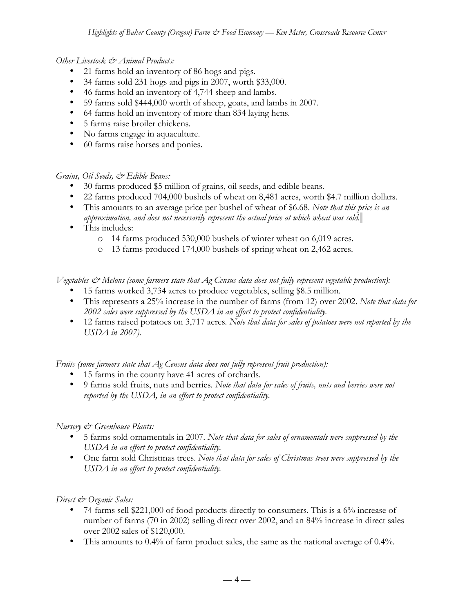## *Other Livestock & Animal Products:*

- 21 farms hold an inventory of 86 hogs and pigs.
- 34 farms sold 231 hogs and pigs in 2007, worth \$33,000.
- 46 farms hold an inventory of 4,744 sheep and lambs.
- 59 farms sold \$444,000 worth of sheep, goats, and lambs in 2007.
- 64 farms hold an inventory of more than 834 laying hens*.*
- 5 farms raise broiler chickens.
- No farms engage in aquaculture.
- 60 farms raise horses and ponies.

# *Grains, Oil Seeds, & Edible Beans:*

- 30 farms produced \$5 million of grains, oil seeds, and edible beans.
- 22 farms produced 704,000 bushels of wheat on 8,481 acres, worth \$4.7 million dollars.
- This amounts to an average price per bushel of wheat of \$6.68. *Note that this price is an approximation, and does not necessarily represent the actual price at which wheat was sold.*
- This includes:
	- o 14 farms produced 530,000 bushels of winter wheat on 6,019 acres.
	- o 13 farms produced 174,000 bushels of spring wheat on 2,462 acres.

*Vegetables & Melons (some farmers state that Ag Census data does not fully represent vegetable production):*

- 15 farms worked 3,734 acres to produce vegetables, selling \$8.5 million.
- This represents a 25% increase in the number of farms (from 12) over 2002. *Note that data for 2002 sales were suppressed by the USDA in an effort to protect confidentiality.*
- 12 farms raised potatoes on 3,717 acres*. Note that data for sales of potatoes were not reported by the USDA in 2007).*

*Fruits (some farmers state that Ag Census data does not fully represent fruit production):*

- 15 farms in the county have 41 acres of orchards.
- 9 farms sold fruits, nuts and berries*. Note that data for sales of fruits, nuts and berries were not reported by the USDA, in an effort to protect confidentiality.*

# *Nursery & Greenhouse Plants:*

- 5 farms sold ornamentals in 2007. *Note that data for sales of ornamentals were suppressed by the USDA in an effort to protect confidentiality.*
- One farm sold Christmas trees. *Note that data for sales of Christmas trees were suppressed by the USDA in an effort to protect confidentiality.*

# *Direct & Organic Sales:*

- 74 farms sell \$221,000 of food products directly to consumers. This is a 6% increase of number of farms (70 in 2002) selling direct over 2002, and an 84% increase in direct sales over 2002 sales of \$120,000.
- This amounts to 0.4% of farm product sales, the same as the national average of 0.4%.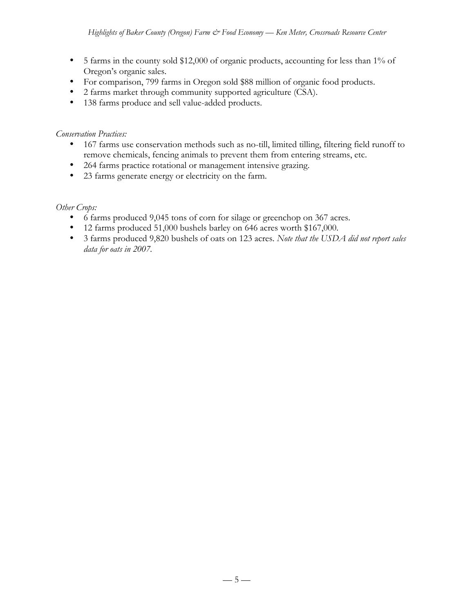- 5 farms in the county sold \$12,000 of organic products, accounting for less than 1% of Oregon's organic sales.
- For comparison, 799 farms in Oregon sold \$88 million of organic food products.
- 2 farms market through community supported agriculture (CSA).
- 138 farms produce and sell value-added products.

## *Conservation Practices:*

- 167 farms use conservation methods such as no-till, limited tilling, filtering field runoff to remove chemicals, fencing animals to prevent them from entering streams, etc.
- 264 farms practice rotational or management intensive grazing.
- 23 farms generate energy or electricity on the farm.

# *Other Crops:*

- 6 farms produced 9,045 tons of corn for silage or greenchop on 367 acres.
- 12 farms produced 51,000 bushels barley on 646 acres worth \$167,000.
- 3 farms produced 9,820 bushels of oats on 123 acres. *Note that the USDA did not report sales data for oats in 2007.*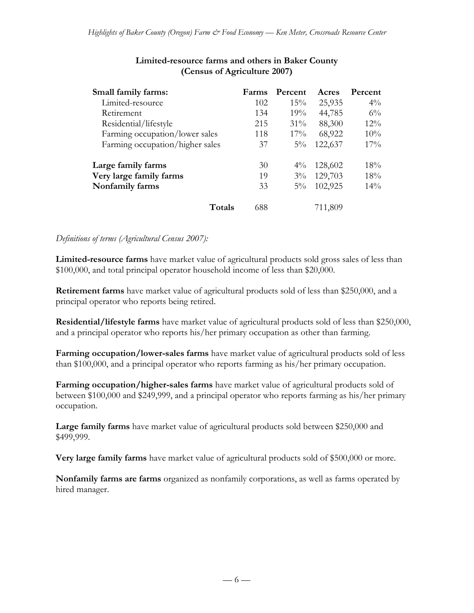| Small family farms:             | Farms | Percent | Acres   | Percent |
|---------------------------------|-------|---------|---------|---------|
| Limited-resource                | 102   | 15%     | 25,935  | $4\%$   |
| Retirement                      | 134   | 19%     | 44,785  | $6\%$   |
| Residential/lifestyle           | 215   | $31\%$  | 88,300  | $12\%$  |
| Farming occupation/lower sales  | 118   | $17\%$  | 68,922  | 10%     |
| Farming occupation/higher sales | 37    | $5\%$   | 122,637 | $17\%$  |
| Large family farms              | 30    | $4\%$   | 128,602 | 18%     |
| Very large family farms         | 19    | $3\%$   | 129,703 | 18%     |
| Nonfamily farms                 | 33    | $5\%$   | 102,925 | $14\%$  |
| Totals                          | 688   |         | 711,809 |         |

# **Limited-resource farms and others in Baker County (Census of Agriculture 2007)**

### *Definitions of terms (Agricultural Census 2007):*

**Limited-resource farms** have market value of agricultural products sold gross sales of less than \$100,000, and total principal operator household income of less than \$20,000.

**Retirement farms** have market value of agricultural products sold of less than \$250,000, and a principal operator who reports being retired.

**Residential/lifestyle farms** have market value of agricultural products sold of less than \$250,000, and a principal operator who reports his/her primary occupation as other than farming.

**Farming occupation/lower-sales farms** have market value of agricultural products sold of less than \$100,000, and a principal operator who reports farming as his/her primary occupation.

**Farming occupation/higher-sales farms** have market value of agricultural products sold of between \$100,000 and \$249,999, and a principal operator who reports farming as his/her primary occupation.

**Large family farms** have market value of agricultural products sold between \$250,000 and \$499,999.

**Very large family farms** have market value of agricultural products sold of \$500,000 or more.

**Nonfamily farms are farms** organized as nonfamily corporations, as well as farms operated by hired manager.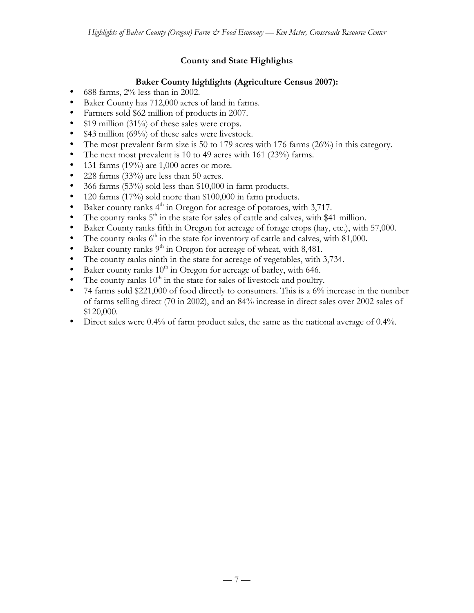# **County and State Highlights**

# **Baker County highlights (Agriculture Census 2007):**

- 688 farms, 2% less than in 2002.
- Baker County has 712,000 acres of land in farms.
- Farmers sold \$62 million of products in 2007.
- \$19 million (31%) of these sales were crops.
- \$43 million (69%) of these sales were livestock.
- The most prevalent farm size is 50 to 179 acres with 176 farms (26%) in this category.
- The next most prevalent is 10 to 49 acres with 161 (23%) farms.
- 131 farms  $(19\%)$  are 1,000 acres or more.
- 228 farms (33%) are less than 50 acres.
- 366 farms (53%) sold less than \$10,000 in farm products.
- 120 farms (17%) sold more than \$100,000 in farm products.
- Baker county ranks  $4<sup>th</sup>$  in Oregon for acreage of potatoes, with 3,717.
- The county ranks  $5<sup>th</sup>$  in the state for sales of cattle and calves, with \$41 million.
- Baker County ranks fifth in Oregon for acreage of forage crops (hay, etc.), with 57,000.
- The county ranks  $6<sup>th</sup>$  in the state for inventory of cattle and calves, with 81,000.
- Baker county ranks  $9<sup>th</sup>$  in Oregon for acreage of wheat, with 8,481.
- The county ranks ninth in the state for acreage of vegetables, with 3,734.
- Baker county ranks  $10^{th}$  in Oregon for acreage of barley, with 646.
- The county ranks  $10<sup>th</sup>$  in the state for sales of livestock and poultry.
- 74 farms sold \$221,000 of food directly to consumers. This is a 6% increase in the number of farms selling direct (70 in 2002), and an 84% increase in direct sales over 2002 sales of \$120,000.
- Direct sales were 0.4% of farm product sales, the same as the national average of 0.4%.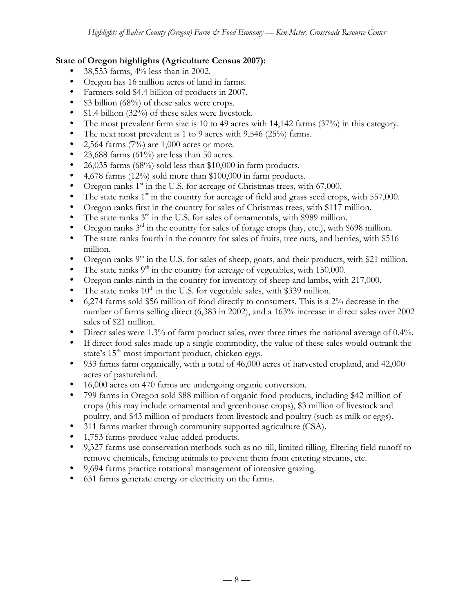## **State of Oregon highlights (Agriculture Census 2007):**

- 38,553 farms, 4% less than in 2002.
- Oregon has 16 million acres of land in farms.
- Farmers sold \$4.4 billion of products in 2007.
- \$3 billion (68%) of these sales were crops.
- \$1.4 billion (32%) of these sales were livestock.
- The most prevalent farm size is 10 to 49 acres with 14,142 farms (37%) in this category.
- The next most prevalent is 1 to 9 acres with 9,546 (25%) farms.<br>• 2.564 farms  $(7\%)$  are 1.000 acres or more.
- 2,564 farms  $(7%)$  are 1,000 acres or more.
- 23,688 farms (61%) are less than 50 acres.
- 26,035 farms (68%) sold less than \$10,000 in farm products.
- 4,678 farms (12%) sold more than \$100,000 in farm products.
- Oregon ranks  $1<sup>st</sup>$  in the U.S. for acreage of Christmas trees, with 67,000.
- The state ranks  $1<sup>st</sup>$  in the country for acreage of field and grass seed crops, with 557,000.
- Oregon ranks first in the country for sales of Christmas trees, with \$117 million.
- The state ranks  $3<sup>rd</sup>$  in the U.S. for sales of ornamentals, with \$989 million.
- Oregon ranks  $3<sup>rd</sup>$  in the country for sales of forage crops (hay, etc.), with \$698 million.
- The state ranks fourth in the country for sales of fruits, tree nuts, and berries, with \$516 million.
- Oregon ranks  $9<sup>th</sup>$  in the U.S. for sales of sheep, goats, and their products, with \$21 million.
- The state ranks  $9<sup>th</sup>$  in the country for acreage of vegetables, with 150,000.
- Oregon ranks ninth in the country for inventory of sheep and lambs, with 217,000.
- The state ranks  $10^{th}$  in the U.S. for vegetable sales, with \$339 million.
- 6,274 farms sold \$56 million of food directly to consumers. This is a 2% decrease in the number of farms selling direct (6,383 in 2002), and a 163% increase in direct sales over 2002 sales of \$21 million.
- Direct sales were 1.3% of farm product sales, over three times the national average of 0.4%.
- If direct food sales made up a single commodity, the value of these sales would outrank the state's  $15<sup>th</sup>$ -most important product, chicken eggs.
- 933 farms farm organically, with a total of 46,000 acres of harvested cropland, and 42,000 acres of pastureland.
- 16,000 acres on 470 farms are undergoing organic conversion.
- 799 farms in Oregon sold \$88 million of organic food products, including \$42 million of crops (this may include ornamental and greenhouse crops), \$3 million of livestock and poultry, and \$43 million of products from livestock and poultry (such as milk or eggs).
- 311 farms market through community supported agriculture (CSA).
- 1,753 farms produce value-added products.
- 9,327 farms use conservation methods such as no-till, limited tilling, filtering field runoff to remove chemicals, fencing animals to prevent them from entering streams, etc.
- 9,694 farms practice rotational management of intensive grazing.
- 631 farms generate energy or electricity on the farms.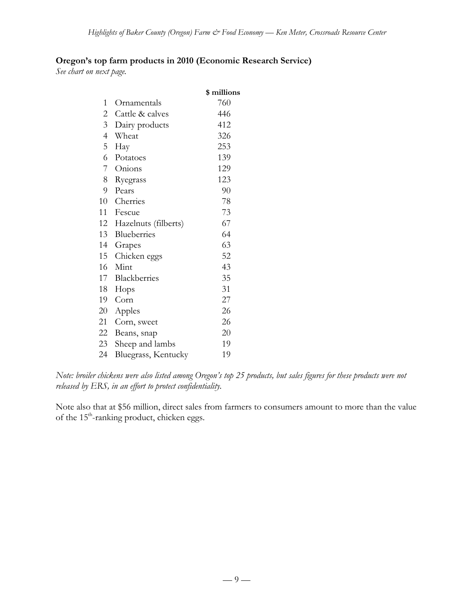# **Oregon's top farm products in 2010 (Economic Research Service)**

*See chart on next page.*

|                |                      | \$ millions |
|----------------|----------------------|-------------|
| 1              | Ornamentals          | 760         |
| $\mathbf{2}$   | Cattle & calves      | 446         |
| 3              | Dairy products       | 412         |
| $\overline{4}$ | Wheat                | 326         |
| 5              | Hay                  | 253         |
| 6              | Potatoes             | 139         |
| 7              | Onions               | 129         |
| 8              | Ryegrass             | 123         |
| 9              | Pears                | 90          |
| 10             | Cherries             | 78          |
| 11             | Fescue               | 73          |
| 12             | Hazelnuts (filberts) | 67          |
| 13             | Blueberries          | 64          |
| 14             | Grapes               | 63          |
| 15             | Chicken eggs         | 52          |
| 16             | Mint                 | 43          |
| 17             | Blackberries         | 35          |
| 18             | Hops                 | 31          |
| 19             | Corn                 | 27          |
| 20             | Apples               | 26          |
| 21             | Corn, sweet          | 26          |
| 22             | Beans, snap          | 20          |
| 23             | Sheep and lambs      | 19          |
| 24             | Bluegrass, Kentucky  | 19          |

*Note: broiler chickens were also listed among Oregon's top 25 products, but sales figures for these products were not released by ERS, in an effort to protect confidentiality.*

Note also that at \$56 million, direct sales from farmers to consumers amount to more than the value of the 15<sup>th</sup>-ranking product, chicken eggs.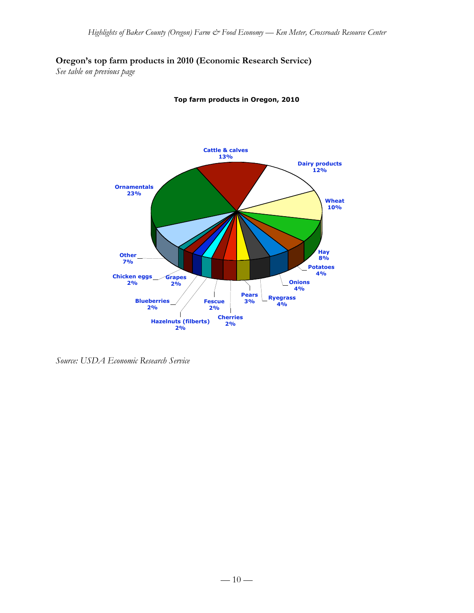# **Oregon's top farm products in 2010 (Economic Research Service)**

*See table on previous page*



**Top farm products in Oregon, 2010**

*Source: USDA Economic Research Service*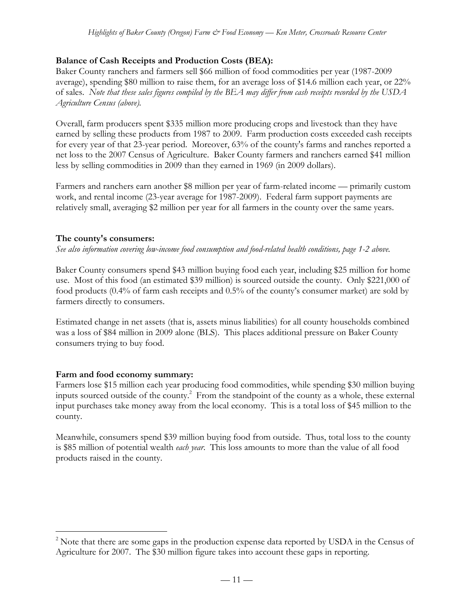# **Balance of Cash Receipts and Production Costs (BEA):**

Baker County ranchers and farmers sell \$66 million of food commodities per year (1987-2009 average), spending \$80 million to raise them, for an average loss of \$14.6 million each year, or 22% of sales. *Note that these sales figures compiled by the BEA may differ from cash receipts recorded by the USDA Agriculture Census (above).*

Overall, farm producers spent \$335 million more producing crops and livestock than they have earned by selling these products from 1987 to 2009. Farm production costs exceeded cash receipts for every year of that 23-year period. Moreover, 63% of the county's farms and ranches reported a net loss to the 2007 Census of Agriculture. Baker County farmers and ranchers earned \$41 million less by selling commodities in 2009 than they earned in 1969 (in 2009 dollars).

Farmers and ranchers earn another \$8 million per year of farm-related income — primarily custom work, and rental income (23-year average for 1987-2009). Federal farm support payments are relatively small, averaging \$2 million per year for all farmers in the county over the same years.

## **The county's consumers:**

*See also information covering low-income food consumption and food-related health conditions, page 1-2 above.*

Baker County consumers spend \$43 million buying food each year, including \$25 million for home use. Most of this food (an estimated \$39 million) is sourced outside the county. Only \$221,000 of food products (0.4% of farm cash receipts and 0.5% of the county's consumer market) are sold by farmers directly to consumers.

Estimated change in net assets (that is, assets minus liabilities) for all county households combined was a loss of \$84 million in 2009 alone (BLS). This places additional pressure on Baker County consumers trying to buy food.

### **Farm and food economy summary:**

Farmers lose \$15 million each year producing food commodities, while spending \$30 million buying inputs sourced outside of the county.<sup>2</sup> From the standpoint of the county as a whole, these external input purchases take money away from the local economy. This is a total loss of \$45 million to the county.

Meanwhile, consumers spend \$39 million buying food from outside. Thus, total loss to the county is \$85 million of potential wealth *each year*. This loss amounts to more than the value of all food products raised in the county.

 $\frac{1}{2}$  $\alpha$ <sup>2</sup> Note that there are some gaps in the production expense data reported by USDA in the Census of Agriculture for 2007. The \$30 million figure takes into account these gaps in reporting.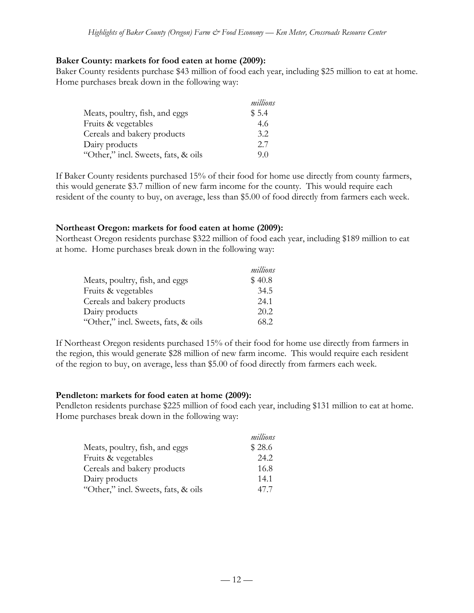#### **Baker County: markets for food eaten at home (2009):**

Baker County residents purchase \$43 million of food each year, including \$25 million to eat at home. Home purchases break down in the following way:

|                                     | millions |
|-------------------------------------|----------|
| Meats, poultry, fish, and eggs      | \$5.4    |
| Fruits & vegetables                 | 4.6      |
| Cereals and bakery products         | 3.2      |
| Dairy products                      | 2.7      |
| "Other," incl. Sweets, fats, & oils | 90       |

If Baker County residents purchased 15% of their food for home use directly from county farmers, this would generate \$3.7 million of new farm income for the county. This would require each resident of the county to buy, on average, less than \$5.00 of food directly from farmers each week.

### **Northeast Oregon: markets for food eaten at home (2009):**

Northeast Oregon residents purchase \$322 million of food each year, including \$189 million to eat at home. Home purchases break down in the following way:

|                                     | millions |
|-------------------------------------|----------|
| Meats, poultry, fish, and eggs      | \$40.8   |
| Fruits & vegetables                 | 34.5     |
| Cereals and bakery products         | 24.1     |
| Dairy products                      | 20.2     |
| "Other," incl. Sweets, fats, & oils | 68.2     |

If Northeast Oregon residents purchased 15% of their food for home use directly from farmers in the region, this would generate \$28 million of new farm income. This would require each resident of the region to buy, on average, less than \$5.00 of food directly from farmers each week.

#### **Pendleton: markets for food eaten at home (2009):**

Pendleton residents purchase \$225 million of food each year, including \$131 million to eat at home. Home purchases break down in the following way:

|                                     | millions |
|-------------------------------------|----------|
| Meats, poultry, fish, and eggs      | \$28.6   |
| Fruits & vegetables                 | 24.2     |
| Cereals and bakery products         | 16.8     |
| Dairy products                      | 14.1     |
| "Other," incl. Sweets, fats, & oils | 47.7     |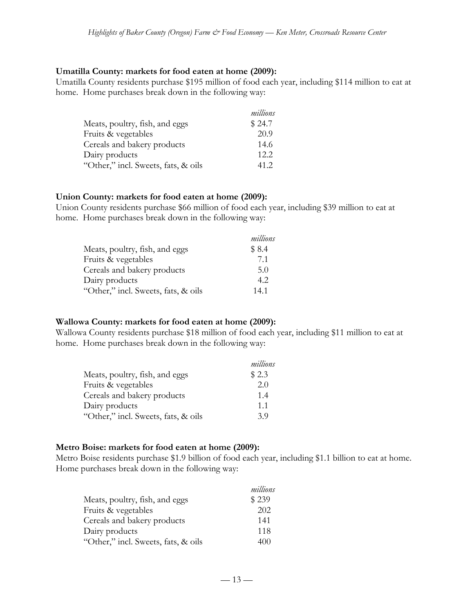#### **Umatilla County: markets for food eaten at home (2009):**

Umatilla County residents purchase \$195 million of food each year, including \$114 million to eat at home. Home purchases break down in the following way:

|                                     | millions |
|-------------------------------------|----------|
| Meats, poultry, fish, and eggs      | \$24.7   |
| Fruits & vegetables                 | 20.9     |
| Cereals and bakery products         | 14.6     |
| Dairy products                      | 12.2.    |
| "Other," incl. Sweets, fats, & oils | 41.2     |

#### **Union County: markets for food eaten at home (2009):**

Union County residents purchase \$66 million of food each year, including \$39 million to eat at home. Home purchases break down in the following way:

|                                     | millions |
|-------------------------------------|----------|
| Meats, poultry, fish, and eggs      | \$8.4    |
| Fruits & vegetables                 | 7.1      |
| Cereals and bakery products         | 5.0      |
| Dairy products                      | 4.2      |
| "Other," incl. Sweets, fats, & oils | 14.1     |

### **Wallowa County: markets for food eaten at home (2009):**

Wallowa County residents purchase \$18 million of food each year, including \$11 million to eat at home. Home purchases break down in the following way:

|                                     | millions |
|-------------------------------------|----------|
| Meats, poultry, fish, and eggs      | \$2.3    |
| Fruits & vegetables                 | 2.0      |
| Cereals and bakery products         | 1.4      |
| Dairy products                      | 11       |
| "Other," incl. Sweets, fats, & oils | 39       |

### **Metro Boise: markets for food eaten at home (2009):**

Metro Boise residents purchase \$1.9 billion of food each year, including \$1.1 billion to eat at home. Home purchases break down in the following way:

|                                     | millions |
|-------------------------------------|----------|
| Meats, poultry, fish, and eggs      | \$239    |
| Fruits & vegetables                 | 202      |
| Cereals and bakery products         | 141      |
| Dairy products                      | 118      |
| "Other," incl. Sweets, fats, & oils | 400      |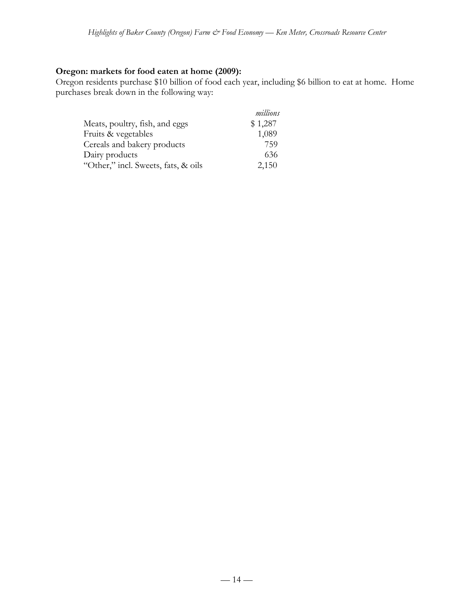## **Oregon: markets for food eaten at home (2009):**

Oregon residents purchase \$10 billion of food each year, including \$6 billion to eat at home. Home purchases break down in the following way:

|                                     | millions |
|-------------------------------------|----------|
| Meats, poultry, fish, and eggs      | \$1,287  |
| Fruits & vegetables                 | 1,089    |
| Cereals and bakery products         | 759      |
| Dairy products                      | 636      |
| "Other," incl. Sweets, fats, & oils | 2,150    |